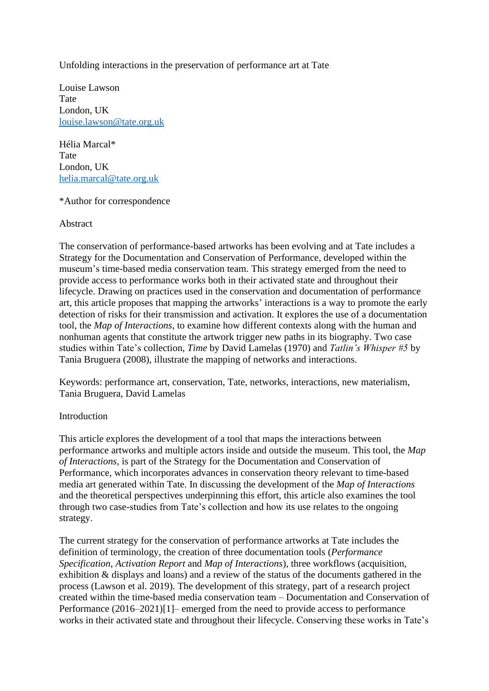Unfolding interactions in the preservation of performance art at Tate

Louise Lawson Tate London, UK [louise.lawson@tate.org.uk](mailto:louise.lawson@tate.org.uk)

Hélia Marcal\* Tate London, UK [helia.marcal@tate.org.uk](mailto:helia.marcal@tate.org.uk)

\*Author for correspondence

Abstract

The conservation of performance-based artworks has been evolving and at Tate includes a Strategy for the Documentation and Conservation of Performance, developed within the museum's time-based media conservation team. This strategy emerged from the need to provide access to performance works both in their activated state and throughout their lifecycle. Drawing on practices used in the conservation and documentation of performance art, this article proposes that mapping the artworks' interactions is a way to promote the early detection of risks for their transmission and activation. It explores the use of a documentation tool, the *Map of Interactions*, to examine how different contexts along with the human and nonhuman agents that constitute the artwork trigger new paths in its biography. Two case studies within Tate's collection, *Time* by David Lamelas (1970) and *Tatlin's Whisper #5* by Tania Bruguera (2008), illustrate the mapping of networks and interactions.

Keywords: performance art, conservation, Tate, networks, interactions, new materialism, Tania Bruguera, David Lamelas

## Introduction

This article explores the development of a tool that maps the interactions between performance artworks and multiple actors inside and outside the museum. This tool, the *Map of Interactions*, is part of the Strategy for the Documentation and Conservation of Performance, which incorporates advances in conservation theory relevant to time-based media art generated within Tate. In discussing the development of the *Map of Interactions* and the theoretical perspectives underpinning this effort, this article also examines the tool through two case-studies from Tate's collection and how its use relates to the ongoing strategy.

The current strategy for the conservation of performance artworks at Tate includes the definition of terminology, the creation of three documentation tools (*Performance Specification*, *Activation Report* and *Map of Interactions*), three workflows (acquisition, exhibition & displays and loans) and a review of the status of the documents gathered in the process (Lawson et al. 2019). The development of this strategy, part of a research project created within the time-based media conservation team – Documentation and Conservation of Performance (2016–2021)[1]– emerged from the need to provide access to performance works in their activated state and throughout their lifecycle. Conserving these works in Tate's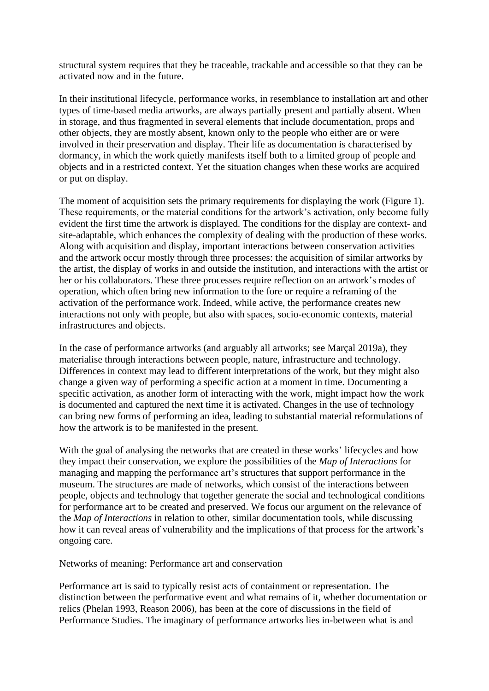structural system requires that they be traceable, trackable and accessible so that they can be activated now and in the future.

In their institutional lifecycle, performance works, in resemblance to installation art and other types of time-based media artworks, are always partially present and partially absent. When in storage, and thus fragmented in several elements that include documentation, props and other objects, they are mostly absent, known only to the people who either are or were involved in their preservation and display. Their life as documentation is characterised by dormancy, in which the work quietly manifests itself both to a limited group of people and objects and in a restricted context. Yet the situation changes when these works are acquired or put on display.

The moment of acquisition sets the primary requirements for displaying the work (Figure 1). These requirements, or the material conditions for the artwork's activation, only become fully evident the first time the artwork is displayed. The conditions for the display are context- and site-adaptable, which enhances the complexity of dealing with the production of these works. Along with acquisition and display, important interactions between conservation activities and the artwork occur mostly through three processes: the acquisition of similar artworks by the artist, the display of works in and outside the institution, and interactions with the artist or her or his collaborators. These three processes require reflection on an artwork's modes of operation, which often bring new information to the fore or require a reframing of the activation of the performance work. Indeed, while active, the performance creates new interactions not only with people, but also with spaces, socio-economic contexts, material infrastructures and objects.

In the case of performance artworks (and arguably all artworks; see Marçal 2019a), they materialise through interactions between people, nature, infrastructure and technology. Differences in context may lead to different interpretations of the work, but they might also change a given way of performing a specific action at a moment in time. Documenting a specific activation, as another form of interacting with the work, might impact how the work is documented and captured the next time it is activated. Changes in the use of technology can bring new forms of performing an idea, leading to substantial material reformulations of how the artwork is to be manifested in the present.

With the goal of analysing the networks that are created in these works' lifecycles and how they impact their conservation, we explore the possibilities of the *Map of Interactions* for managing and mapping the performance art's structures that support performance in the museum. The structures are made of networks, which consist of the interactions between people, objects and technology that together generate the social and technological conditions for performance art to be created and preserved. We focus our argument on the relevance of the *Map of Interactions* in relation to other, similar documentation tools, while discussing how it can reveal areas of vulnerability and the implications of that process for the artwork's ongoing care.

Networks of meaning: Performance art and conservation

Performance art is said to typically resist acts of containment or representation. The distinction between the performative event and what remains of it, whether documentation or relics (Phelan 1993, Reason 2006), has been at the core of discussions in the field of Performance Studies. The imaginary of performance artworks lies in-between what is and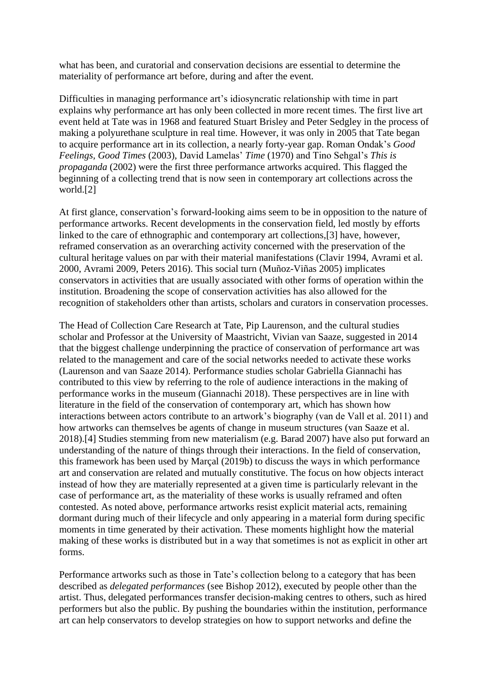what has been, and curatorial and conservation decisions are essential to determine the materiality of performance art before, during and after the event.

Difficulties in managing performance art's idiosyncratic relationship with time in part explains why performance art has only been collected in more recent times. The first live art event held at Tate was in 1968 and featured Stuart Brisley and Peter Sedgley in the process of making a polyurethane sculpture in real time. However, it was only in 2005 that Tate began to acquire performance art in its collection, a nearly forty-year gap. Roman Ondak's *Good Feelings, Good Times* (2003), David Lamelas' *Time* (1970) and Tino Sehgal's *This is propaganda* (2002) were the first three performance artworks acquired. This flagged the beginning of a collecting trend that is now seen in contemporary art collections across the world.[2]

At first glance, conservation's forward-looking aims seem to be in opposition to the nature of performance artworks. Recent developments in the conservation field, led mostly by efforts linked to the care of ethnographic and contemporary art collections,[3] have, however, reframed conservation as an overarching activity concerned with the preservation of the cultural heritage values on par with their material manifestations (Clavir 1994, Avrami et al. 2000, Avrami 2009, Peters 2016). This social turn (Muñoz-Viñas 2005) implicates conservators in activities that are usually associated with other forms of operation within the institution. Broadening the scope of conservation activities has also allowed for the recognition of stakeholders other than artists, scholars and curators in conservation processes.

The Head of Collection Care Research at Tate, Pip Laurenson, and the cultural studies scholar and Professor at the University of Maastricht, Vivian van Saaze, suggested in 2014 that the biggest challenge underpinning the practice of conservation of performance art was related to the management and care of the social networks needed to activate these works (Laurenson and van Saaze 2014). Performance studies scholar Gabriella Giannachi has contributed to this view by referring to the role of audience interactions in the making of performance works in the museum (Giannachi 2018). These perspectives are in line with literature in the field of the conservation of contemporary art, which has shown how interactions between actors contribute to an artwork's biography (van de Vall et al. 2011) and how artworks can themselves be agents of change in museum structures (van Saaze et al. 2018).[4] Studies stemming from new materialism (e.g. Barad 2007) have also put forward an understanding of the nature of things through their interactions. In the field of conservation, this framework has been used by Marçal (2019b) to discuss the ways in which performance art and conservation are related and mutually constitutive. The focus on how objects interact instead of how they are materially represented at a given time is particularly relevant in the case of performance art, as the materiality of these works is usually reframed and often contested. As noted above, performance artworks resist explicit material acts, remaining dormant during much of their lifecycle and only appearing in a material form during specific moments in time generated by their activation. These moments highlight how the material making of these works is distributed but in a way that sometimes is not as explicit in other art forms.

Performance artworks such as those in Tate's collection belong to a category that has been described as *delegated performances* (see Bishop 2012), executed by people other than the artist. Thus, delegated performances transfer decision-making centres to others, such as hired performers but also the public. By pushing the boundaries within the institution, performance art can help conservators to develop strategies on how to support networks and define the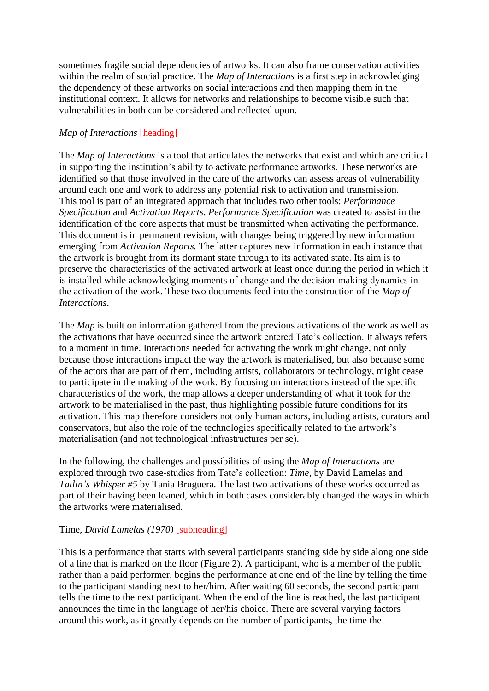sometimes fragile social dependencies of artworks. It can also frame conservation activities within the realm of social practice. The *Map of Interactions* is a first step in acknowledging the dependency of these artworks on social interactions and then mapping them in the institutional context. It allows for networks and relationships to become visible such that vulnerabilities in both can be considered and reflected upon.

# *Map of Interactions* [heading]

The *Map of Interactions* is a tool that articulates the networks that exist and which are critical in supporting the institution's ability to activate performance artworks. These networks are identified so that those involved in the care of the artworks can assess areas of vulnerability around each one and work to address any potential risk to activation and transmission. This tool is part of an integrated approach that includes two other tools: *Performance Specification* and *Activation Reports*. *Performance Specification* was created to assist in the identification of the core aspects that must be transmitted when activating the performance. This document is in permanent revision, with changes being triggered by new information emerging from *Activation Reports.* The latter captures new information in each instance that the artwork is brought from its dormant state through to its activated state. Its aim is to preserve the characteristics of the activated artwork at least once during the period in which it is installed while acknowledging moments of change and the decision-making dynamics in the activation of the work. These two documents feed into the construction of the *Map of Interactions*.

The *Map* is built on information gathered from the previous activations of the work as well as the activations that have occurred since the artwork entered Tate's collection. It always refers to a moment in time. Interactions needed for activating the work might change, not only because those interactions impact the way the artwork is materialised, but also because some of the actors that are part of them, including artists, collaborators or technology, might cease to participate in the making of the work. By focusing on interactions instead of the specific characteristics of the work, the map allows a deeper understanding of what it took for the artwork to be materialised in the past, thus highlighting possible future conditions for its activation. This map therefore considers not only human actors, including artists, curators and conservators, but also the role of the technologies specifically related to the artwork's materialisation (and not technological infrastructures per se).

In the following, the challenges and possibilities of using the *Map of Interactions* are explored through two case-studies from Tate's collection: *Time,* by David Lamelas and *Tatlin's Whisper #5* by Tania Bruguera. The last two activations of these works occurred as part of their having been loaned, which in both cases considerably changed the ways in which the artworks were materialised.

## Time, *David Lamelas (1970)* [subheading]

This is a performance that starts with several participants standing side by side along one side of a line that is marked on the floor (Figure 2). A participant, who is a member of the public rather than a paid performer, begins the performance at one end of the line by telling the time to the participant standing next to her/him. After waiting 60 seconds, the second participant tells the time to the next participant. When the end of the line is reached, the last participant announces the time in the language of her/his choice. There are several varying factors around this work, as it greatly depends on the number of participants, the time the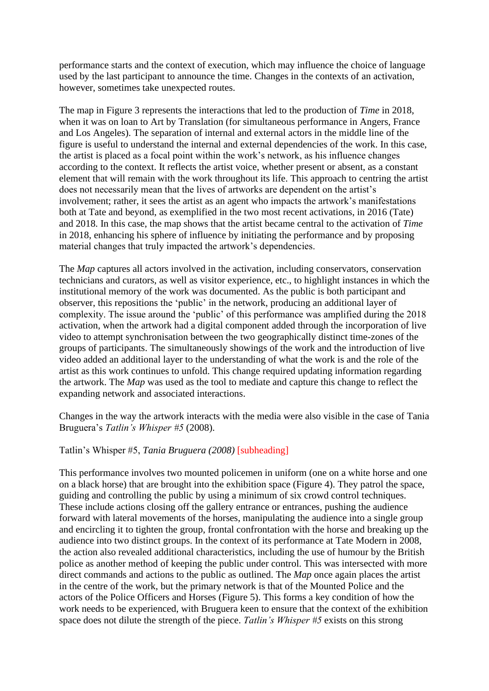performance starts and the context of execution, which may influence the choice of language used by the last participant to announce the time. Changes in the contexts of an activation, however, sometimes take unexpected routes.

The map in Figure 3 represents the interactions that led to the production of *Time* in 2018, when it was on loan to Art by Translation (for simultaneous performance in Angers, France and Los Angeles). The separation of internal and external actors in the middle line of the figure is useful to understand the internal and external dependencies of the work. In this case, the artist is placed as a focal point within the work's network, as his influence changes according to the context. It reflects the artist voice, whether present or absent, as a constant element that will remain with the work throughout its life. This approach to centring the artist does not necessarily mean that the lives of artworks are dependent on the artist's involvement; rather, it sees the artist as an agent who impacts the artwork's manifestations both at Tate and beyond, as exemplified in the two most recent activations, in 2016 (Tate) and 2018. In this case, the map shows that the artist became central to the activation of *Time* in 2018, enhancing his sphere of influence by initiating the performance and by proposing material changes that truly impacted the artwork's dependencies.

The *Map* captures all actors involved in the activation, including conservators, conservation technicians and curators, as well as visitor experience, etc., to highlight instances in which the institutional memory of the work was documented. As the public is both participant and observer, this repositions the 'public' in the network, producing an additional layer of complexity. The issue around the 'public' of this performance was amplified during the 2018 activation, when the artwork had a digital component added through the incorporation of live video to attempt synchronisation between the two geographically distinct time-zones of the groups of participants. The simultaneously showings of the work and the introduction of live video added an additional layer to the understanding of what the work is and the role of the artist as this work continues to unfold. This change required updating information regarding the artwork. The *Map* was used as the tool to mediate and capture this change to reflect the expanding network and associated interactions.

Changes in the way the artwork interacts with the media were also visible in the case of Tania Bruguera's *Tatlin's Whisper #5* (2008).

## Tatlin's Whisper #5, *Tania Bruguera (2008)* [subheading]

This performance involves two mounted policemen in uniform (one on a white horse and one on a black horse) that are brought into the exhibition space (Figure 4). They patrol the space, guiding and controlling the public by using a minimum of six crowd control techniques. These include actions closing off the gallery entrance or entrances, pushing the audience forward with lateral movements of the horses, manipulating the audience into a single group and encircling it to tighten the group, frontal confrontation with the horse and breaking up the audience into two distinct groups. In the context of its performance at Tate Modern in 2008, the action also revealed additional characteristics, including the use of humour by the British police as another method of keeping the public under control. This was intersected with more direct commands and actions to the public as outlined. The *Map* once again places the artist in the centre of the work, but the primary network is that of the Mounted Police and the actors of the Police Officers and Horses (Figure 5). This forms a key condition of how the work needs to be experienced, with Bruguera keen to ensure that the context of the exhibition space does not dilute the strength of the piece. *Tatlin's Whisper #5* exists on this strong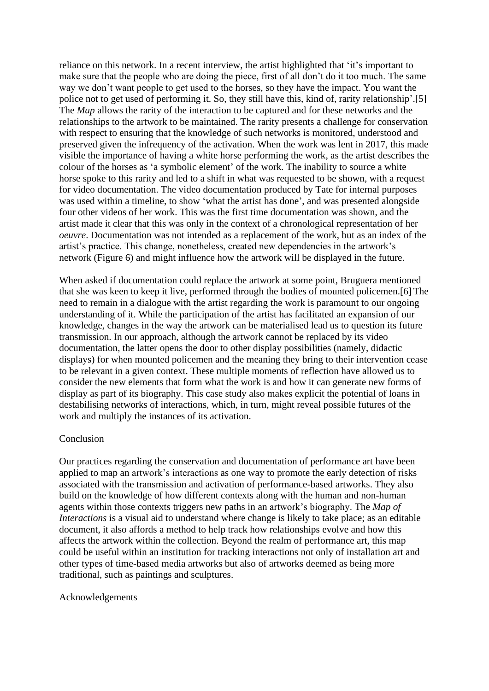reliance on this network. In a recent interview, the artist highlighted that 'it's important to make sure that the people who are doing the piece, first of all don't do it too much. The same way we don't want people to get used to the horses, so they have the impact. You want the police not to get used of performing it. So, they still have this, kind of, rarity relationship'.[5] The *Map* allows the rarity of the interaction to be captured and for these networks and the relationships to the artwork to be maintained. The rarity presents a challenge for conservation with respect to ensuring that the knowledge of such networks is monitored, understood and preserved given the infrequency of the activation. When the work was lent in 2017, this made visible the importance of having a white horse performing the work, as the artist describes the colour of the horses as 'a symbolic element' of the work. The inability to source a white horse spoke to this rarity and led to a shift in what was requested to be shown, with a request for video documentation. The video documentation produced by Tate for internal purposes was used within a timeline, to show 'what the artist has done', and was presented alongside four other videos of her work. This was the first time documentation was shown, and the artist made it clear that this was only in the context of a chronological representation of her *oeuvre*. Documentation was not intended as a replacement of the work, but as an index of the artist's practice. This change, nonetheless, created new dependencies in the artwork's network (Figure 6) and might influence how the artwork will be displayed in the future.

When asked if documentation could replace the artwork at some point, Bruguera mentioned that she was keen to keep it live, performed through the bodies of mounted policemen.[6] The need to remain in a dialogue with the artist regarding the work is paramount to our ongoing understanding of it. While the participation of the artist has facilitated an expansion of our knowledge, changes in the way the artwork can be materialised lead us to question its future transmission. In our approach, although the artwork cannot be replaced by its video documentation, the latter opens the door to other display possibilities (namely, didactic displays) for when mounted policemen and the meaning they bring to their intervention cease to be relevant in a given context. These multiple moments of reflection have allowed us to consider the new elements that form what the work is and how it can generate new forms of display as part of its biography. This case study also makes explicit the potential of loans in destabilising networks of interactions, which, in turn, might reveal possible futures of the work and multiply the instances of its activation.

#### Conclusion

Our practices regarding the conservation and documentation of performance art have been applied to map an artwork's interactions as one way to promote the early detection of risks associated with the transmission and activation of performance-based artworks. They also build on the knowledge of how different contexts along with the human and non-human agents within those contexts triggers new paths in an artwork's biography. The *Map of Interactions* is a visual aid to understand where change is likely to take place; as an editable document, it also affords a method to help track how relationships evolve and how this affects the artwork within the collection. Beyond the realm of performance art, this map could be useful within an institution for tracking interactions not only of installation art and other types of time-based media artworks but also of artworks deemed as being more traditional, such as paintings and sculptures.

#### Acknowledgements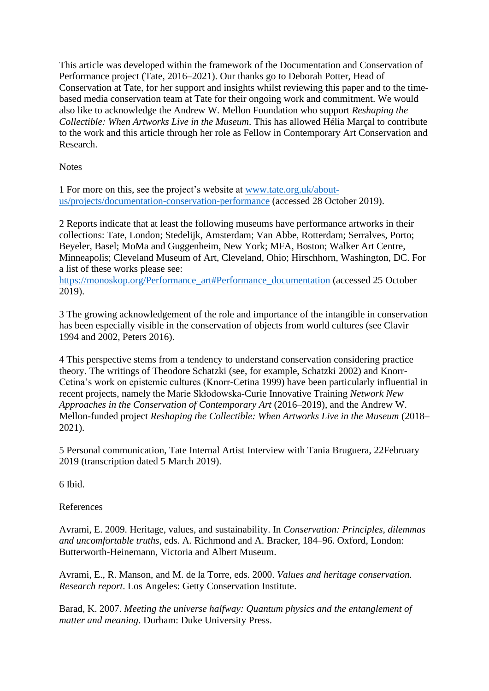This article was developed within the framework of the Documentation and Conservation of Performance project (Tate, 2016–2021). Our thanks go to Deborah Potter, Head of Conservation at Tate, for her support and insights whilst reviewing this paper and to the timebased media conservation team at Tate for their ongoing work and commitment. We would also like to acknowledge the Andrew W. Mellon Foundation who support *Reshaping the Collectible: When Artworks Live in the Museum*. This has allowed Hélia Marçal to contribute to the work and this article through her role as Fellow in Contemporary Art Conservation and Research.

**Notes** 

1 For more on this, see the project's website at [www.tate.org.uk/about](file:///C:/Users/35196/Dropbox/ICOM-CC/Preprints%202020/Preprints_2020_CopyEditing/Modern%20Materials%20and%20Contemporary%20Art/www.tate.org.uk/about-us/projects/documentation-conservation-performance)[us/projects/documentation-conservation-performance](file:///C:/Users/35196/Dropbox/ICOM-CC/Preprints%202020/Preprints_2020_CopyEditing/Modern%20Materials%20and%20Contemporary%20Art/www.tate.org.uk/about-us/projects/documentation-conservation-performance) (accessed 28 October 2019).

2 Reports indicate that at least the following museums have performance artworks in their collections: Tate, London; Stedelijk, Amsterdam; Van Abbe, Rotterdam; Serralves, Porto; Beyeler, Basel; MoMa and Guggenheim, New York; MFA, Boston; Walker Art Centre, Minneapolis; Cleveland Museum of Art, Cleveland, Ohio; Hirschhorn, Washington, DC. For a list of these works please see:

[https://monoskop.org/Performance\\_art#Performance\\_documentation](https://monoskop.org/Performance_art#Performance_documentation) (accessed 25 October 2019).

3 The growing acknowledgement of the role and importance of the intangible in conservation has been especially visible in the conservation of objects from world cultures (see Clavir 1994 and 2002, Peters 2016).

4 This perspective stems from a tendency to understand conservation considering practice theory. The writings of Theodore Schatzki (see, for example, Schatzki 2002) and Knorr-Cetina's work on epistemic cultures (Knorr-Cetina 1999) have been particularly influential in recent projects, namely the Marie Skłodowska-Curie Innovative Training *Network New Approaches in the Conservation of Contemporary Art* (2016–2019), and the Andrew W. Mellon-funded project *Reshaping the Collectible: When Artworks Live in the Museum* (2018– 2021).

5 Personal communication, Tate Internal Artist Interview with Tania Bruguera, 22February 2019 (transcription dated 5 March 2019).

6 Ibid.

References

Avrami, E. 2009. Heritage, values, and sustainability. In *Conservation: Principles, dilemmas and uncomfortable truths*, eds. A. Richmond and A. Bracker, 184–96. Oxford, London: Butterworth-Heinemann, Victoria and Albert Museum.

Avrami, E., R. Manson, and M. de la Torre, eds. 2000. *Values and heritage conservation. Research report*. Los Angeles: Getty Conservation Institute.

Barad, K. 2007. *Meeting the universe halfway: Quantum physics and the entanglement of matter and meaning*. Durham: Duke University Press.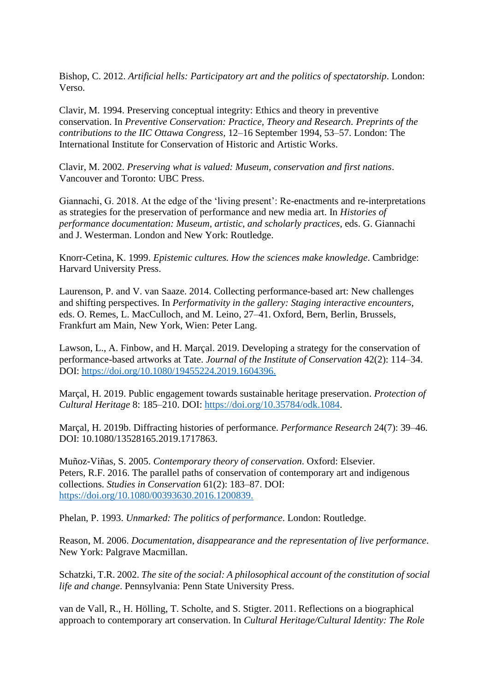Bishop, C. 2012. *Artificial hells: Participatory art and the politics of spectatorship*. London: Verso.

Clavir, M. 1994. Preserving conceptual integrity: Ethics and theory in preventive conservation. In *Preventive Conservation: Practice, Theory and Research. Preprints of the contributions to the IIC Ottawa Congress*, 12–16 September 1994, 53–57. London: The International Institute for Conservation of Historic and Artistic Works.

Clavir, M. 2002. *Preserving what is valued: Museum, conservation and first nations*. Vancouver and Toronto: UBC Press.

Giannachi, G. 2018. At the edge of the 'living present': Re-enactments and re-interpretations as strategies for the preservation of performance and new media art. In *Histories of performance documentation: Museum, artistic, and scholarly practices*, eds. G. Giannachi and J. Westerman. London and New York: Routledge.

Knorr-Cetina, K. 1999. *Epistemic cultures. How the sciences make knowledge*. Cambridge: Harvard University Press.

Laurenson, P. and V. van Saaze. 2014. Collecting performance-based art: New challenges and shifting perspectives. In *Performativity in the gallery: Staging interactive encounters*, eds. O. Remes, L. MacCulloch, and M. Leino, 27–41. Oxford, Bern, Berlin, Brussels, Frankfurt am Main, New York, Wien: Peter Lang.

Lawson, L., A. Finbow, and H. Marçal. 2019. Developing a strategy for the conservation of performance-based artworks at Tate. *Journal of the Institute of Conservation* 42(2): 114–34. DOI: [https://doi.org/10.1080/19455224.2019.1604396.](https://doi.org/10.1080/19455224.2019.1604396)

Marçal, H. 2019. Public engagement towards sustainable heritage preservation. *Protection of Cultural Heritage* 8: 185–210. DOI: [https://doi.org/10.35784/odk.1084.](https://doi.org/10.35784/odk.1084)

Marçal, H. 2019b. Diffracting histories of performance. *Performance Research* 24(7): 39–46. DOI: 10.1080/13528165.2019.1717863.

Muñoz-Viñas, S. 2005. *Contemporary theory of conservation*. Oxford: Elsevier. Peters, R.F. 2016. The parallel paths of conservation of contemporary art and indigenous collections. *Studies in Conservation* 61(2): 183–87. DOI: [https://doi.org/10.1080/00393630.2016.1200839.](https://doi.org/10.1080/00393630.2016.1200839)

Phelan, P. 1993. *Unmarked: The politics of performance*. London: Routledge.

Reason, M. 2006. *Documentation, disappearance and the representation of live performance*. New York: Palgrave Macmillan.

Schatzki, T.R. 2002. *The site of the social: A philosophical account of the constitution of social life and change*. Pennsylvania: Penn State University Press.

van de Vall, R., H. Hölling, T. Scholte, and S. Stigter. 2011. Reflections on a biographical approach to contemporary art conservation. In *Cultural Heritage/Cultural Identity: The Role*